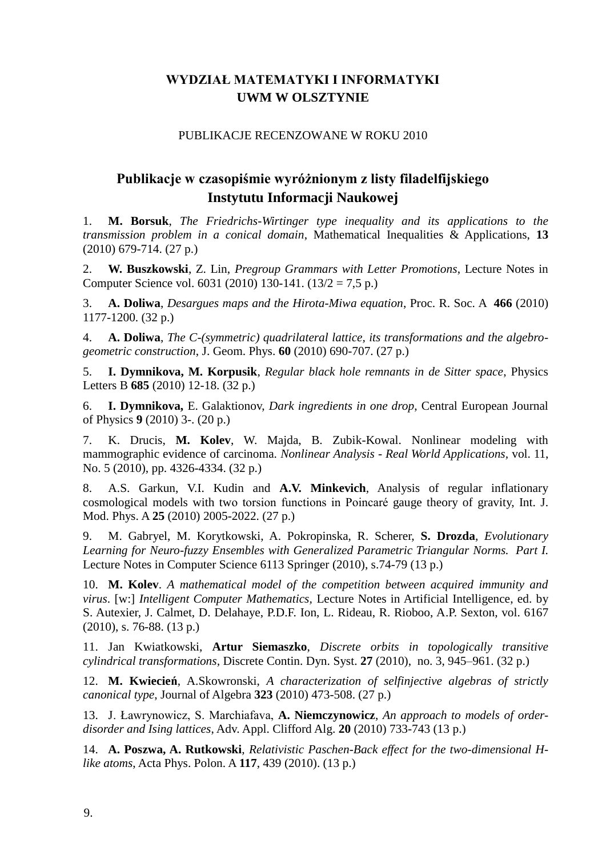## **WYDZIAŁ MATEMATYKI I INFORMATYKI UWM W OLSZTYNIE**

#### PUBLIKACJE RECENZOWANE W ROKU 2010

# **Publikacje w czasopiśmie wyróżnionym z listy filadelfijskiego Instytutu Informacji Naukowej**

1. **M. Borsuk**, *The Friedrichs-Wirtinger type inequality and its applications to the transmission problem in a conical domain*, Mathematical Inequalities & Applications, **13** (2010) 679-714. (27 p.)

2. **W. Buszkowski**, Z. Lin, *Pregroup Grammars with Letter Promotions*, Lecture Notes in Computer Science vol. 6031 (2010) 130-141. (13/2 = 7,5 p.)

3. **A. Doliwa**, *Desargues maps and the Hirota-Miwa equation*, Proc. R. Soc. A **466** (2010) 1177-1200. (32 p.)

4. **A. Doliwa**, *The C-(symmetric) quadrilateral lattice, its transformations and the algebrogeometric construction*, J. Geom. Phys. **60** (2010) 690-707. (27 p.)

5. **I. Dymnikova, M. Korpusik**, *Regular black hole remnants in de Sitter space*, Physics Letters B **685** (2010) 12-18. (32 p.)

6. **I. Dymnikova,** E. Galaktionov, *Dark ingredients in one drop*, Central European Journal of Physics **9** (2010) 3-. (20 p.)

7. K. Drucis, **M. Kolev**, W. Majda, B. Zubik-Kowal. Nonlinear modeling with mammographic evidence of carcinoma. *Nonlinear Analysis - Real World Applications,* vol. 11, No. 5 (2010), pp. 4326-4334. (32 p.)

8. A.S. Garkun, V.I. Kudin and **A.V. Minkevich**, Analysis of regular inflationary cosmological models with two torsion functions in Poincaré gauge theory of gravity, Int. J. Mod. Phys. A **25** (2010) 2005-2022. (27 p.)

9. M. Gabryel, M. Korytkowski, A. Pokropinska, R. Scherer, **S. Drozda**, *Evolutionary Learning for Neuro-fuzzy Ensembles with Generalized Parametric Triangular Norms. Part I.* Lecture Notes in Computer Science 6113 Springer (2010), s.74-79 (13 p.)

10. **M. Kolev**. *A mathematical model of the competition between acquired immunity and virus*. [w:] *Intelligent Computer Mathematics,* Lecture Notes in Artificial Intelligence, ed. by S. Autexier, J. Calmet, D. Delahaye, P.D.F. Ion, L. Rideau, R. Rioboo, A.P. Sexton, vol. 6167 (2010), s. 76-88. (13 p.)

11. Jan Kwiatkowski, **Artur Siemaszko**, *Discrete orbits in topologically transitive cylindrical transformations,* Discrete Contin. Dyn. Syst. **27** (2010), no. 3, 945–961. (32 p.)

12. **M. Kwiecień**, A.Skowronski, *A characterization of selfinjective algebras of strictly canonical type*, Journal of Algebra **323** (2010) 473-508. (27 p.)

13. J. Ławrynowicz, S. Marchiafava, **A. Niemczynowicz**, *An approach to models of orderdisorder and Ising lattices*, Adv. Appl. Clifford Alg. **20** (2010) 733-743 (13 p.)

14. **A. Poszwa, A. Rutkowski**, *Relativistic Paschen-Back effect for the two-dimensional Hlike atoms*, Acta Phys. Polon. A **117**, 439 (2010). (13 p.)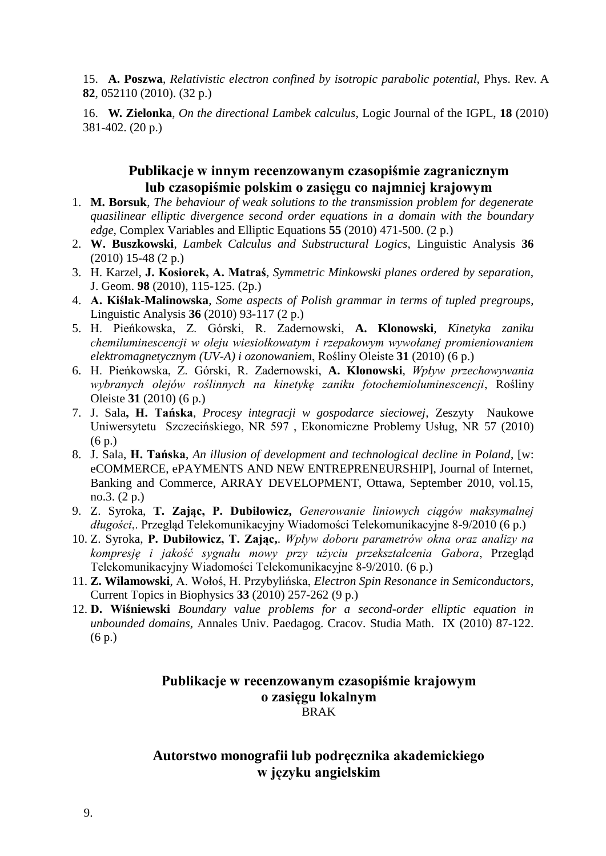15. **A. Poszwa**, *Relativistic electron confined by isotropic parabolic potential*, Phys. Rev. A **82**, 052110 (2010). (32 p.)

16. **W. Zielonka**, *On the directional Lambek calculus*, Logic Journal of the IGPL, **18** (2010) 381-402. (20 p.)

#### **Publikacje w innym recenzowanym czasopiśmie zagranicznym lub czasopiśmie polskim o zasięgu co najmniej krajowym**

- 1. **M. Borsuk**, *The behaviour of weak solutions to the transmission problem for degenerate quasilinear elliptic divergence second order equations in a domain with the boundary edge*, Complex Variables and Elliptic Equations **55** (2010) 471-500. (2 p.)
- 2. **W. Buszkowski**, *Lambek Calculus and Substructural Logics*, Linguistic Analysis **36** (2010) 15-48 (2 p.)
- 3. H. Karzel, **J. Kosiorek, A. Matraś**, *Symmetric Minkowski planes ordered by separation,* J. Geom. **98** (2010), 115-125. (2p.)
- 4. **A. Kiślak-Malinowska**, *Some aspects of Polish grammar in terms of tupled pregroups*, Linguistic Analysis **36** (2010) 93-117 (2 p.)
- 5. H. Pieńkowska, Z. Górski, R. Zadernowski, **A. Klonowski**, *Kinetyka zaniku chemiluminescencji w oleju wiesiołkowatym i rzepakowym wywołanej promieniowaniem elektromagnetycznym (UV-A) i ozonowaniem*, Rośliny Oleiste **31** (2010) (6 p.)
- 6. H. Pieńkowska, Z. Górski, R. Zadernowski, **A. Klonowski**, *Wpływ przechowywania wybranych olejów roślinnych na kinetykę zaniku fotochemioluminescencji*, Rośliny Oleiste **31** (2010) (6 p.)
- 7. J. Sala**, H. Tańska**, *Procesy integracji w gospodarce sieciowej*, Zeszyty Naukowe Uniwersytetu Szczecińskiego, NR 597 , Ekonomiczne Problemy Usług, NR 57 (2010) (6 p.)
- 8. J. Sala, **H. Tańska**, *An illusion of development and technological decline in Poland*, [w: eCOMMERCE, ePAYMENTS AND NEW ENTREPRENEURSHIP], Journal of Internet, Banking and Commerce, ARRAY DEVELOPMENT, Ottawa, September 2010, vol.15, no.3. (2 p.)
- 9. Z. Syroka, **T. Zając, P. Dubiłowicz,** *Generowanie liniowych ciągów maksymalnej długości*,. Przegląd Telekomunikacyjny Wiadomości Telekomunikacyjne 8-9/2010 (6 p.)
- 10. Z. Syroka, **P. Dubiłowicz, T. Zając,**. *Wpływ doboru parametrów okna oraz analizy na kompresję i jakość sygnału mowy przy użyciu przekształcenia Gabora*, Przegląd Telekomunikacyjny Wiadomości Telekomunikacyjne 8-9/2010. (6 p.)
- 11. **Z. Wilamowski**, A. Wołoś, H. Przybylińska, *Electron Spin Resonance in Semiconductors*, Current Topics in Biophysics **33** (2010) 257-262 (9 p.)
- 12. **D. Wiśniewski** *Boundary value problems for a second-order elliptic equation in unbounded domains,* Annales Univ. Paedagog. Cracov. Studia Math. IX (2010) 87-122. (6 p.)

#### **Publikacje w recenzowanym czasopiśmie krajowym o zasięgu lokalnym** BRAK

## **Autorstwo monografii lub podręcznika akademickiego w języku angielskim**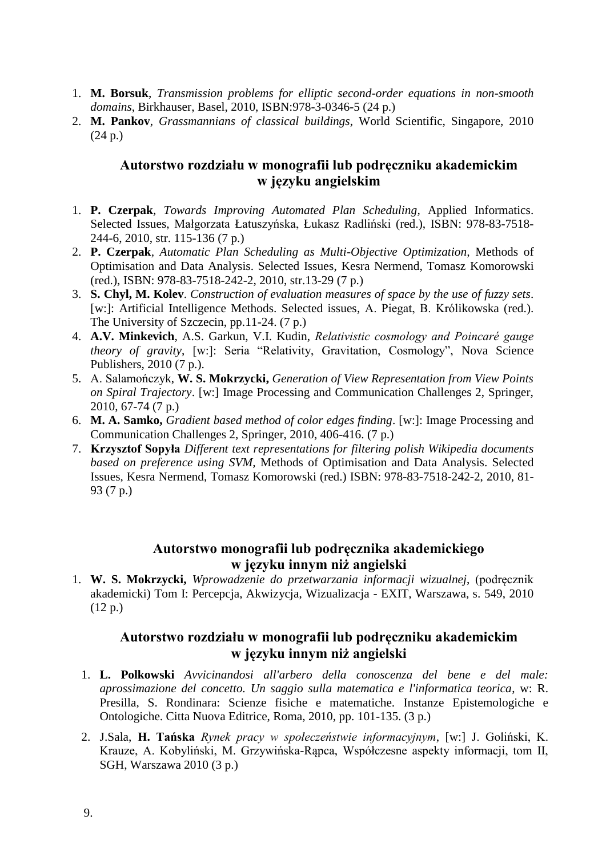- 1. **M. Borsuk**, *Transmission problems for elliptic second-order equations in non-smooth domains*, Birkhauser, Basel, 2010, ISBN:978-3-0346-5 (24 p.)
- 2. **M. Pankov**, *Grassmannians of classical buildings*, World Scientific, Singapore, 2010 (24 p.)

## **Autorstwo rozdziału w monografii lub podręczniku akademickim w języku angielskim**

- 1. **P. Czerpak**, *Towards Improving Automated Plan Scheduling,* Applied Informatics. Selected Issues, Małgorzata Łatuszyńska, Łukasz Radliński (red.), ISBN: 978-83-7518- 244-6, 2010, str. 115-136 (7 p.)
- 2. **P. Czerpak***, Automatic Plan Scheduling as Multi-Objective Optimization,* Methods of Optimisation and Data Analysis. Selected Issues, Kesra Nermend, Tomasz Komorowski (red.), ISBN: 978-83-7518-242-2, 2010, str.13-29 (7 p.)
- 3. **S. Chyl, M. Kolev**. *Construction of evaluation measures of space by the use of fuzzy sets.* [w:]: Artificial Intelligence Methods. Selected issues, A. Piegat, B. Królikowska (red.). The University of Szczecin, pp.11-24. (7 p.)
- 4. **A.V. Minkevich**, A.S. Garkun, V.I. Kudin, *Relativistic cosmology and Poincaré gauge theory of gravity*, [w:]: Seria "Relativity, Gravitation, Cosmology", Nova Science Publishers, 2010 (7 p.).
- 5. A. Salamończyk, **W. S. Mokrzycki,** *Generation of View Representation from View Points on Spiral Trajectory*. [w:] Image Processing and Communication Challenges 2, Springer, 2010, 67-74 (7 p.)
- 6. **M. A. Samko,** *Gradient based method of color edges finding*. [w:]: Image Processing and Communication Challenges 2, Springer, 2010, 406-416. (7 p.)
- 7. **Krzysztof Sopyła** *Different text representations for filtering polish Wikipedia documents based on preference using SVM,* Methods of Optimisation and Data Analysis. Selected Issues, Kesra Nermend, Tomasz Komorowski (red.) ISBN: 978-83-7518-242-2, 2010, 81- 93 (7 p.)

#### **Autorstwo monografii lub podręcznika akademickiego w języku innym niż angielski**

1. **W. S. Mokrzycki,** *Wprowadzenie do przetwarzania informacji wizualnej*, (podręcznik akademicki) Tom I: Percepcja, Akwizycja, Wizualizacja - EXIT, Warszawa, s. 549, 2010 (12 p.)

## **Autorstwo rozdziału w monografii lub podręczniku akademickim w języku innym niż angielski**

- 1. **L. Polkowski** *Avvicinandosi all'arbero della conoscenza del bene e del male: aprossimazione del concetto. Un saggio sulla matematica e l'informatica teorica*, w: R. Presilla, S. Rondinara: Scienze fisiche e matematiche. Instanze Epistemologiche e Ontologiche. Citta Nuova Editrice, Roma, 2010, pp. 101-135. (3 p.)
- 2. J.Sala, **H. Tańska** *Rynek pracy w społeczeństwie informacyjnym*, [w:] J. Goliński, K. Krauze, A. Kobyliński, M. Grzywińska-Rąpca, Współczesne aspekty informacji, tom II, SGH, Warszawa 2010 (3 p.)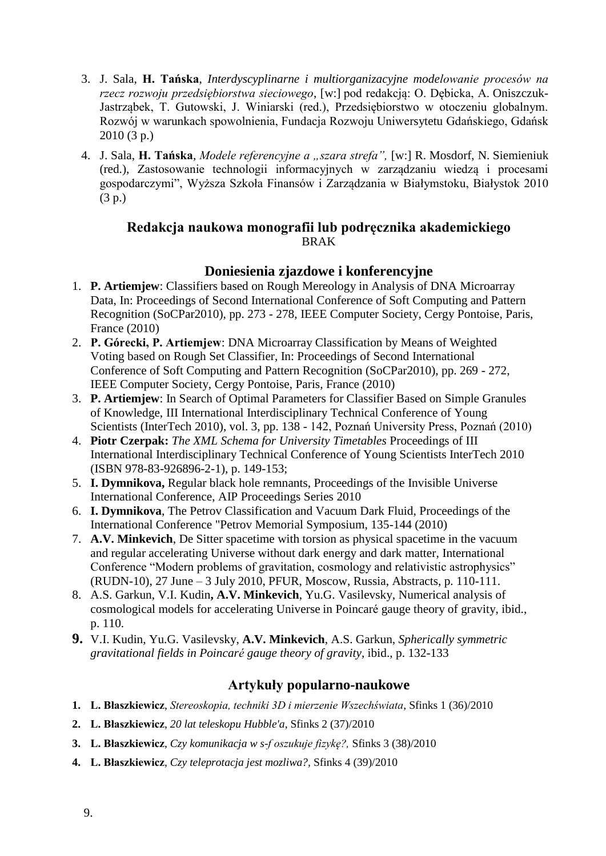- 3. J. Sala, **H. Tańska**, *Interdyscyplinarne i multiorganizacyjne modelowanie procesów na rzecz rozwoju przedsiębiorstwa sieciowego*, [w:] pod redakcją: O. Dębicka, A. Oniszczuk-Jastrząbek, T. Gutowski, J. Winiarski (red.), Przedsiębiorstwo w otoczeniu globalnym. Rozwój w warunkach spowolnienia, Fundacja Rozwoju Uniwersytetu Gdańskiego, Gdańsk 2010 (3 p.)
- 4. J. Sala, **H. Tańska**, *Modele referencyjne a "szara strefa",* [w:] R. Mosdorf, N. Siemieniuk (red.), Zastosowanie technologii informacyjnych w zarządzaniu wiedzą i procesami gospodarczymi", Wyższa Szkoła Finansów i Zarządzania w Białymstoku, Białystok 2010 (3 p.)

#### **Redakcja naukowa monografii lub podręcznika akademickiego** BRAK

#### **Doniesienia zjazdowe i konferencyjne**

- 1. **P. Artiemjew**: Classifiers based on Rough Mereology in Analysis of DNA Microarray Data, In: Proceedings of Second International Conference of Soft Computing and Pattern Recognition (SoCPar2010), pp. 273 - 278, IEEE Computer Society, Cergy Pontoise, Paris, France (2010)
- 2. **P. Górecki, P. Artiemjew**: DNA Microarray Classification by Means of Weighted Voting based on Rough Set Classifier, In: Proceedings of Second International Conference of Soft Computing and Pattern Recognition (SoCPar2010), pp. 269 - 272, IEEE Computer Society, Cergy Pontoise, Paris, France (2010)
- 3. **P. Artiemjew**: In Search of Optimal Parameters for Classifier Based on Simple Granules of Knowledge, III International Interdisciplinary Technical Conference of Young Scientists (InterTech 2010), vol. 3, pp. 138 - 142, Poznań University Press, Poznań (2010)
- 4. **Piotr Czerpak:** *The XML Schema for University Timetables* Proceedings of III International Interdisciplinary Technical Conference of Young Scientists InterTech 2010 (ISBN 978-83-926896-2-1), p. 149-153;
- 5. **I. Dymnikova,** Regular black hole remnants, Proceedings of the Invisible Universe International Conference, AIP Proceedings Series 2010
- 6. **I. Dymnikova**, The Petrov Classification and Vacuum Dark Fluid, Proceedings of the International Conference "Petrov Memorial Symposium, 135-144 (2010)
- 7. **A.V. Minkevich**, De Sitter spacetime with torsion as physical spacetime in the vacuum and regular accelerating Universe without dark energy and dark matter, International Conference "Modern problems of gravitation, cosmology and relativistic astrophysics" (RUDN-10), 27 June – 3 July 2010, PFUR, Moscow, Russia, Abstracts, p. 110-111.
- 8. A.S. Garkun, V.I. Kudin**, A.V. Minkevich**, Yu.G. Vasilevsky, Numerical analysis of cosmological models for accelerating Universe in Poincaré gauge theory of gravity, ibid., p. 110.
- **9.** V.I. Kudin, Yu.G. Vasilevsky, **A.V. Minkevich**, A.S. Garkun, *Spherically symmetric gravitational fields in Poincaré gauge theory of gravity*, ibid., p. 132-133

## **Artykuły popularno-naukowe**

- **1. L. Błaszkiewicz**, *Stereoskopia, techniki 3D i mierzenie Wszechświata*, Sfinks 1 (36)/2010
- **2. L. Błaszkiewicz**, *20 lat teleskopu Hubble'a*, Sfinks 2 (37)/2010
- **3. L. Błaszkiewicz**, *Czy komunikacja w s-f oszukuje fizykę?,* Sfinks 3 (38)/2010
- **4. L. Błaszkiewicz**, *Czy teleprotacja jest mozliwa?,* Sfinks 4 (39)/2010